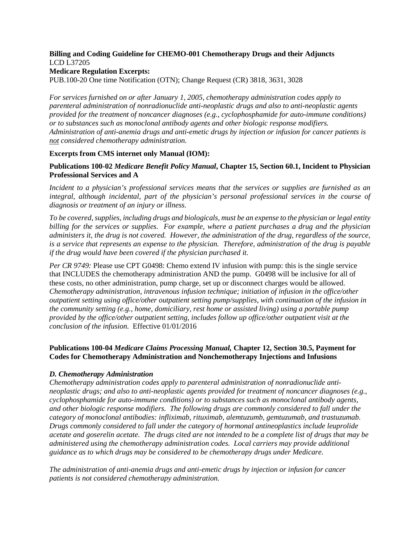# **Billing and Coding Guideline for CHEMO-001 Chemotherapy Drugs and their Adjuncts** LCD L37205

#### **Medicare Regulation Excerpts:**

PUB.100-20 One time Notification (OTN); Change Request (CR) 3818, 3631, 3028

*For services furnished on or after January 1, 2005, chemotherapy administration codes apply to parenteral administration of nonradionuclide anti-neoplastic drugs and also to anti-neoplastic agents provided for the treatment of noncancer diagnoses (e.g., cyclophosphamide for auto-immune conditions) or to substances such as monoclonal antibody agents and other biologic response modifiers. Administration of anti-anemia drugs and anti-emetic drugs by injection or infusion for cancer patients is not considered chemotherapy administration.*

# **Excerpts from CMS internet only Manual (IOM):**

# **Publications 100-02** *Medicare Benefit Policy Manual***, Chapter 15, Section 60.1, Incident to Physician Professional Services and A**

*Incident to a physician's professional services means that the services or supplies are furnished as an integral, although incidental, part of the physician's personal professional services in the course of diagnosis or treatment of an injury or illness.*

*To be covered, supplies, including drugs and biologicals, must be an expense to the physician or legal entity billing for the services or supplies. For example, where a patient purchases a drug and the physician administers it, the drug is not covered. However, the administration of the drug, regardless of the source, is a service that represents an expense to the physician. Therefore, administration of the drug is payable if the drug would have been covered if the physician purchased it.*

*Per CR 9749:* Please use CPT G0498: Chemo extend IV infusion with pump: this is the single service that INCLUDES the chemotherapy administration AND the pump. G0498 will be inclusive for all of these costs, no other administration, pump charge, set up or disconnect charges would be allowed. *Chemotherapy administration, intravenous infusion technique; initiation of infusion in the office/other outpatient setting using office/other outpatient setting pump/supplies, with continuation of the infusion in the community setting (e.g., home, domiciliary, rest home or assisted living) using a portable pump provided by the office/other outpatient setting, includes follow up office/other outpatient visit at the conclusion of the infusion.* Effective 01/01/2016

# **Publications 100-04** *Medicare Claims Processing Manual,* **Chapter 12, Section 30.5, Payment for Codes for Chemotherapy Administration and Nonchemotherapy Injections and Infusions**

#### *D. Chemotherapy Administration*

*Chemotherapy administration codes apply to parenteral administration of nonradionuclide antineoplastic drugs; and also to anti-neoplastic agents provided for treatment of noncancer diagnoses (e.g., cyclophosphamide for auto-immune conditions) or to substances such as monoclonal antibody agents, and other biologic response modifiers. The following drugs are commonly considered to fall under the category of monoclonal antibodies: infliximab, rituximab, alemtuzumb, gemtuzumab, and trastuzumab. Drugs commonly considered to fall under the category of hormonal antineoplastics include leuprolide acetate and goserelin acetate. The drugs cited are not intended to be a complete list of drugs that may be administered using the chemotherapy administration codes. Local carriers may provide additional guidance as to which drugs may be considered to be chemotherapy drugs under Medicare.*

*The administration of anti-anemia drugs and anti-emetic drugs by injection or infusion for cancer patients is not considered chemotherapy administration.*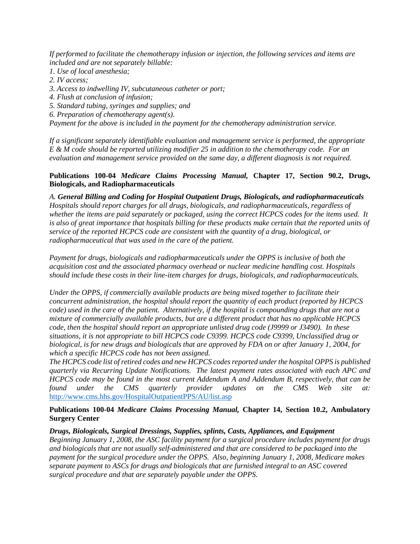*If performed to facilitate the chemotherapy infusion or injection, the following services and items are included and are not separately billable:*

- *1. Use of local anesthesia;*
- *2. IV access;*
- *3. Access to indwelling IV, subcutaneous catheter or port;*
- *4. Flush at conclusion of infusion;*
- *5. Standard tubing, syringes and supplies; and*
- *6. Preparation of chemotherapy agent(s).*

*Payment for the above is included in the payment for the chemotherapy administration service.* 

*If a significant separately identifiable evaluation and management service is performed, the appropriate E & M code should be reported utilizing modifier 25 in addition to the chemotherapy code. For an evaluation and management service provided on the same day, a different diagnosis is not required.*

### **Publications 100-04** *Medicare Claims Processing Manual,* **Chapter 17, Section 90.2, Drugs, Biologicals, and Radiopharmaceuticals**

*A. General Billing and Coding for Hospital Outpatient Drugs, Biologicals, and radiopharmaceuticals Hospitals should report charges for all drugs, biologicals, and radiopharmaceuticals, regardless of whether the items are paid separately or packaged, using the correct HCPCS codes for the items used. It is also of great importance that hospitals billing for these products make certain that the reported units of service of the reported HCPCS code are consistent with the quantity of a drug, biological, or radiopharmaceutical that was used in the care of the patient.*

*Payment for drugs, biologicals and radiopharmaceuticals under the OPPS is inclusive of both the acquisition cost and the associated pharmacy overhead or nuclear medicine handling cost. Hospitals should include these costs in their line-item charges for drugs, biologicals, and radiopharmaceuticals.*

*Under the OPPS, if commercially available products are being mixed together to facilitate their concurrent administration, the hospital should report the quantity of each product (reported by HCPCS code) used in the care of the patient. Alternatively, if the hospital is compounding drugs that are not a mixture of commercially available products, but are a different product that has no applicable HCPCS code, then the hospital should report an appropriate unlisted drug code (J9999 or J3490). In these situations, it is not appropriate to bill HCPCS code C9399. HCPCS code C9399, Unclassified drug or biological, is for new drugs and biologicals that are approved by FDA on or after January 1, 2004, for which a specific HCPCS code has not been assigned.* 

*The HCPCS code list of retired codes and new HCPCS codes reported under the hospital OPPS is published quarterly via Recurring Update Notifications. The latest payment rates associated with each APC and HCPCS code may be found in the most current Addendum A and Addendum B, respectively, that can be found under the CMS quarterly provider updates on the CMS Web site at:*  <http://www.cms.hhs.gov/HospitalOutpatientPPS/AU/list.asp>

# **Publications 100-04** *Medicare Claims Processing Manual,* **Chapter 14, Section 10.2, Ambulatory Surgery Center**

#### *Drugs, Biologicals, Surgical Dressings, Supplies, splints, Casts, Appliances, and Equipment*

*Beginning January 1, 2008, the ASC facility payment for a surgical procedure includes payment for drugs and biologicals that are not usually self-administered and that are considered to be packaged into the payment for the surgical procedure under the OPPS. Also, beginning January 1, 2008, Medicare makes separate payment to ASCs for drugs and biologicals that are furnished integral to an ASC covered surgical procedure and that are separately payable under the OPPS.*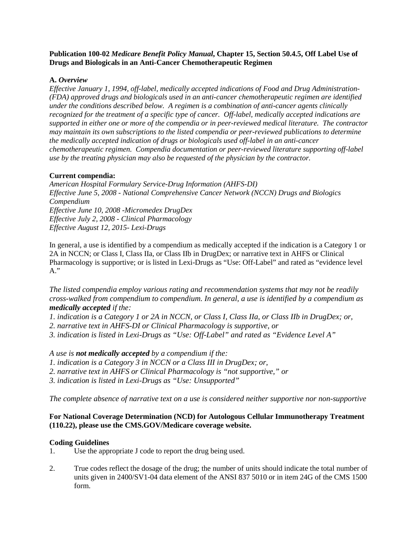### **Publication 100-02** *Medicare Benefit Policy Manual***, Chapter 15, Section 50.4.5, Off Label Use of Drugs and Biologicals in an Anti-Cancer Chemotherapeutic Regimen**

# **A.** *Overview*

*Effective January 1, 1994, off-label, medically accepted indications of Food and Drug Administration- (FDA) approved drugs and biologicals used in an anti-cancer chemotherapeutic regimen are identified under the conditions described below. A regimen is a combination of anti-cancer agents clinically recognized for the treatment of a specific type of cancer. Off-label, medically accepted indications are supported in either one or more of the compendia or in peer-reviewed medical literature. The contractor may maintain its own subscriptions to the listed compendia or peer-reviewed publications to determine the medically accepted indication of drugs or biologicals used off-label in an anti-cancer chemotherapeutic regimen. Compendia documentation or peer-reviewed literature supporting off-label use by the treating physician may also be requested of the physician by the contractor.*

# **Current compendia:**

*American Hospital Formulary Service-Drug Information (AHFS-DI) Effective June 5, 2008 - National Comprehensive Cancer Network (NCCN) Drugs and Biologics Compendium Effective June 10, 2008 -Micromedex DrugDex Effective July 2, 2008 - Clinical Pharmacology Effective August 12, 2015- Lexi-Drugs*

In general, a use is identified by a compendium as medically accepted if the indication is a Category 1 or 2A in NCCN; or Class I, Class IIa, or Class IIb in DrugDex; or narrative text in AHFS or Clinical Pharmacology is supportive; or is listed in Lexi-Drugs as "Use: Off-Label" and rated as "evidence level A."

*The listed compendia employ various rating and recommendation systems that may not be readily cross-walked from compendium to compendium. In general, a use is identified by a compendium as medically accepted if the:*

*1. indication is a Category 1 or 2A in NCCN, or Class I, Class IIa, or Class IIb in DrugDex; or, 2. narrative text in AHFS-DI or Clinical Pharmacology is supportive, or* 

*3. indication is listed in Lexi-Drugs as "Use: Off-Label" and rated as "Evidence Level A"* 

*A use is not medically accepted by a compendium if the:* 

*1. indication is a Category 3 in NCCN or a Class III in DrugDex; or,* 

*2. narrative text in AHFS or Clinical Pharmacology is "not supportive," or* 

*3. indication is listed in Lexi-Drugs as "Use: Unsupported"* 

*The complete absence of narrative text on a use is considered neither supportive nor non-supportive*

# **For National Coverage Determination (NCD) for Autologous Cellular Immunotherapy Treatment (110.22), please use the CMS.GOV/Medicare coverage website.**

#### **Coding Guidelines**

- 1. Use the appropriate J code to report the drug being used.
- 2. True codes reflect the dosage of the drug; the number of units should indicate the total number of units given in 2400/SV1-04 data element of the ANSI 837 5010 or in item 24G of the CMS 1500 form.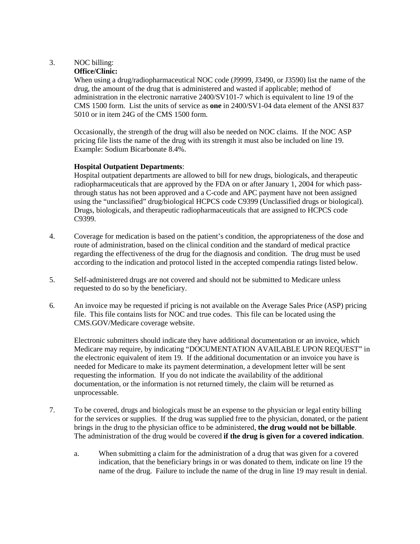# 3. NOC billing:

# **Office/Clinic:**

When using a drug/radiopharmaceutical NOC code (J9999, J3490, or J3590) list the name of the drug, the amount of the drug that is administered and wasted if applicable; method of administration in the electronic narrative 2400/SV101-7 which is equivalent to line 19 of the CMS 1500 form. List the units of service as **one** in 2400/SV1-04 data element of the ANSI 837 5010 or in item 24G of the CMS 1500 form.

Occasionally, the strength of the drug will also be needed on NOC claims. If the NOC ASP pricing file lists the name of the drug with its strength it must also be included on line 19. Example: Sodium Bicarbonate 8.4%.

# **Hospital Outpatient Departments**:

Hospital outpatient departments are allowed to bill for new drugs, biologicals, and therapeutic radiopharmaceuticals that are approved by the FDA on or after January 1, 2004 for which passthrough status has not been approved and a C-code and APC payment have not been assigned using the "unclassified" drug/biological HCPCS code C9399 (Unclassified drugs or biological). Drugs, biologicals, and therapeutic radiopharmaceuticals that are assigned to HCPCS code C9399.

- 4. Coverage for medication is based on the patient's condition, the appropriateness of the dose and route of administration, based on the clinical condition and the standard of medical practice regarding the effectiveness of the drug for the diagnosis and condition. The drug must be used according to the indication and protocol listed in the accepted compendia ratings listed below.
- 5. Self-administered drugs are not covered and should not be submitted to Medicare unless requested to do so by the beneficiary.
- 6*.* An invoice may be requested if pricing is not available on the Average Sales Price (ASP) pricing file. This file contains lists for NOC and true codes. This file can be located using the CMS.GOV/Medicare coverage website.

Electronic submitters should indicate they have additional documentation or an invoice, which Medicare may require, by indicating "DOCUMENTATION AVAILABLE UPON REQUEST" in the electronic equivalent of item 19. If the additional documentation or an invoice you have is needed for Medicare to make its payment determination, a development letter will be sent requesting the information. If you do not indicate the availability of the additional documentation, or the information is not returned timely, the claim will be returned as unprocessable.

- 7. To be covered, drugs and biologicals must be an expense to the physician or legal entity billing for the services or supplies. If the drug was supplied free to the physician, donated, or the patient brings in the drug to the physician office to be administered, **the drug would not be billable**. The administration of the drug would be covered **if the drug is given for a covered indication**.
	- a. When submitting a claim for the administration of a drug that was given for a covered indication, that the beneficiary brings in or was donated to them, indicate on line 19 the name of the drug. Failure to include the name of the drug in line 19 may result in denial.